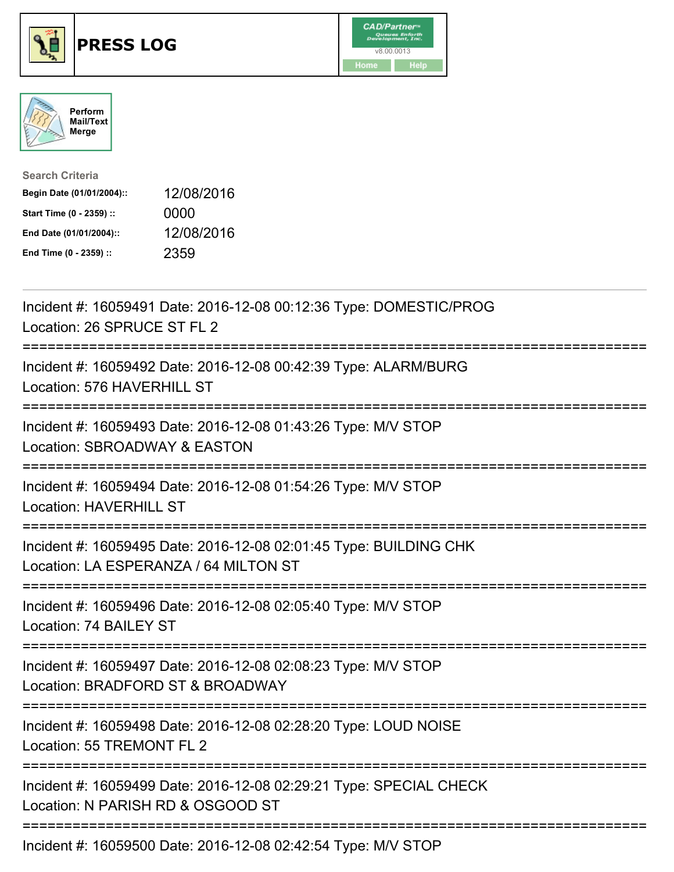





| <b>Search Criteria</b>    |            |
|---------------------------|------------|
| Begin Date (01/01/2004):: | 12/08/2016 |
| Start Time (0 - 2359) ::  | 0000       |
| End Date (01/01/2004)::   | 12/08/2016 |
| End Time (0 - 2359) ::    | 2359       |

| Incident #: 16059491 Date: 2016-12-08 00:12:36 Type: DOMESTIC/PROG<br>Location: 26 SPRUCE ST FL 2                                  |
|------------------------------------------------------------------------------------------------------------------------------------|
| Incident #: 16059492 Date: 2016-12-08 00:42:39 Type: ALARM/BURG<br>Location: 576 HAVERHILL ST<br>-----------                       |
| Incident #: 16059493 Date: 2016-12-08 01:43:26 Type: M/V STOP<br>Location: SBROADWAY & EASTON<br>-----------                       |
| Incident #: 16059494 Date: 2016-12-08 01:54:26 Type: M/V STOP<br><b>Location: HAVERHILL ST</b><br>-------------------------------- |
| Incident #: 16059495 Date: 2016-12-08 02:01:45 Type: BUILDING CHK<br>Location: LA ESPERANZA / 64 MILTON ST                         |
| Incident #: 16059496 Date: 2016-12-08 02:05:40 Type: M/V STOP<br>Location: 74 BAILEY ST                                            |
| Incident #: 16059497 Date: 2016-12-08 02:08:23 Type: M/V STOP<br>Location: BRADFORD ST & BROADWAY                                  |
| Incident #: 16059498 Date: 2016-12-08 02:28:20 Type: LOUD NOISE<br>Location: 55 TREMONT FL 2                                       |
| Incident #: 16059499 Date: 2016-12-08 02:29:21 Type: SPECIAL CHECK<br>Location: N PARISH RD & OSGOOD ST                            |
| Incident #: 16059500 Date: 2016-12-08 02:42:54 Type: M/V STOP                                                                      |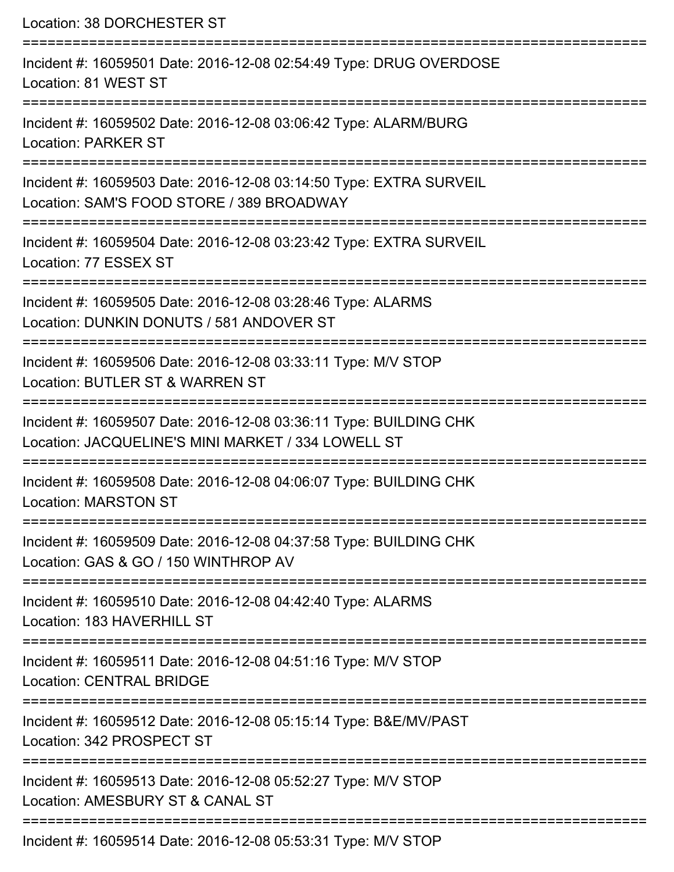Location: 38 DORCHESTER ST =========================================================================== Incident #: 16059501 Date: 2016-12-08 02:54:49 Type: DRUG OVERDOSE Location: 81 WEST ST =========================================================================== Incident #: 16059502 Date: 2016-12-08 03:06:42 Type: ALARM/BURG Location: PARKER ST =========================================================================== Incident #: 16059503 Date: 2016-12-08 03:14:50 Type: EXTRA SURVEIL Location: SAM'S FOOD STORE / 389 BROADWAY =========================================================================== Incident #: 16059504 Date: 2016-12-08 03:23:42 Type: EXTRA SURVEIL Location: 77 ESSEX ST =========================================================================== Incident #: 16059505 Date: 2016-12-08 03:28:46 Type: ALARMS Location: DUNKIN DONUTS / 581 ANDOVER ST =========================================================================== Incident #: 16059506 Date: 2016-12-08 03:33:11 Type: M/V STOP Location: BUTLER ST & WARREN ST =========================================================================== Incident #: 16059507 Date: 2016-12-08 03:36:11 Type: BUILDING CHK Location: JACQUELINE'S MINI MARKET / 334 LOWELL ST =========================================================================== Incident #: 16059508 Date: 2016-12-08 04:06:07 Type: BUILDING CHK Location: MARSTON ST =========================================================================== Incident #: 16059509 Date: 2016-12-08 04:37:58 Type: BUILDING CHK Location: GAS & GO / 150 WINTHROP AV =========================================================================== Incident #: 16059510 Date: 2016-12-08 04:42:40 Type: ALARMS Location: 183 HAVERHILL ST =========================================================================== Incident #: 16059511 Date: 2016-12-08 04:51:16 Type: M/V STOP Location: CENTRAL BRIDGE =========================================================================== Incident #: 16059512 Date: 2016-12-08 05:15:14 Type: B&E/MV/PAST Location: 342 PROSPECT ST =========================================================================== Incident #: 16059513 Date: 2016-12-08 05:52:27 Type: M/V STOP Location: AMESBURY ST & CANAL ST =========================================================================== Incident #: 16059514 Date: 2016-12-08 05:53:31 Type: M/V STOP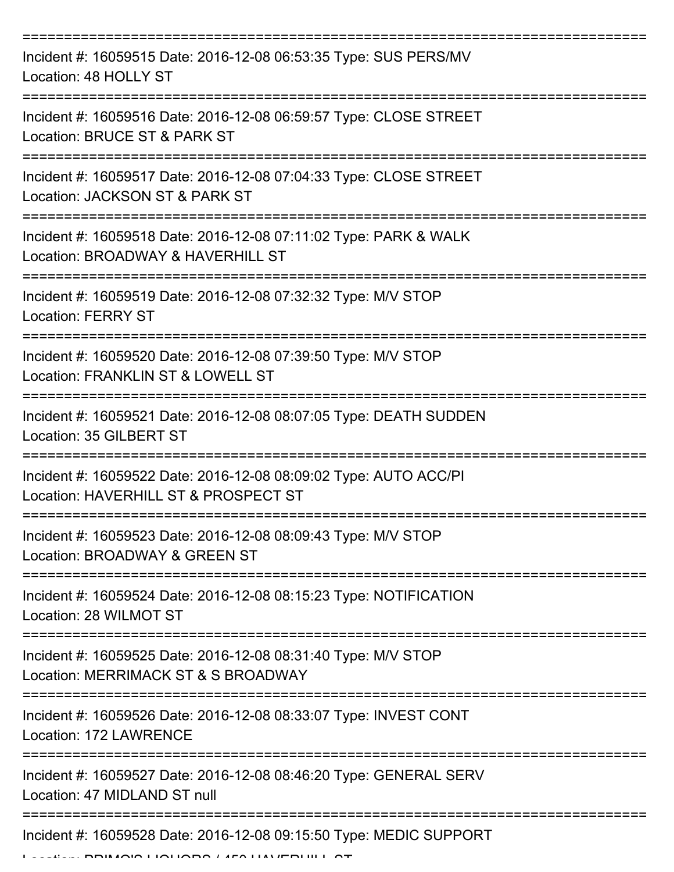| Incident #: 16059515 Date: 2016-12-08 06:53:35 Type: SUS PERS/MV<br>Location: 48 HOLLY ST                |
|----------------------------------------------------------------------------------------------------------|
| Incident #: 16059516 Date: 2016-12-08 06:59:57 Type: CLOSE STREET<br>Location: BRUCE ST & PARK ST        |
| Incident #: 16059517 Date: 2016-12-08 07:04:33 Type: CLOSE STREET<br>Location: JACKSON ST & PARK ST      |
| Incident #: 16059518 Date: 2016-12-08 07:11:02 Type: PARK & WALK<br>Location: BROADWAY & HAVERHILL ST    |
| Incident #: 16059519 Date: 2016-12-08 07:32:32 Type: M/V STOP<br><b>Location: FERRY ST</b>               |
| Incident #: 16059520 Date: 2016-12-08 07:39:50 Type: M/V STOP<br>Location: FRANKLIN ST & LOWELL ST       |
| Incident #: 16059521 Date: 2016-12-08 08:07:05 Type: DEATH SUDDEN<br>Location: 35 GILBERT ST             |
| Incident #: 16059522 Date: 2016-12-08 08:09:02 Type: AUTO ACC/PI<br>Location: HAVERHILL ST & PROSPECT ST |
| Incident #: 16059523 Date: 2016-12-08 08:09:43 Type: M/V STOP<br>Location: BROADWAY & GREEN ST           |
| Incident #: 16059524 Date: 2016-12-08 08:15:23 Type: NOTIFICATION<br>Location: 28 WILMOT ST              |
| Incident #: 16059525 Date: 2016-12-08 08:31:40 Type: M/V STOP<br>Location: MERRIMACK ST & S BROADWAY     |
| Incident #: 16059526 Date: 2016-12-08 08:33:07 Type: INVEST CONT<br>Location: 172 LAWRENCE               |
| Incident #: 16059527 Date: 2016-12-08 08:46:20 Type: GENERAL SERV<br>Location: 47 MIDLAND ST null        |
| Incident #: 16059528 Date: 2016-12-08 09:15:50 Type: MEDIC SUPPORT                                       |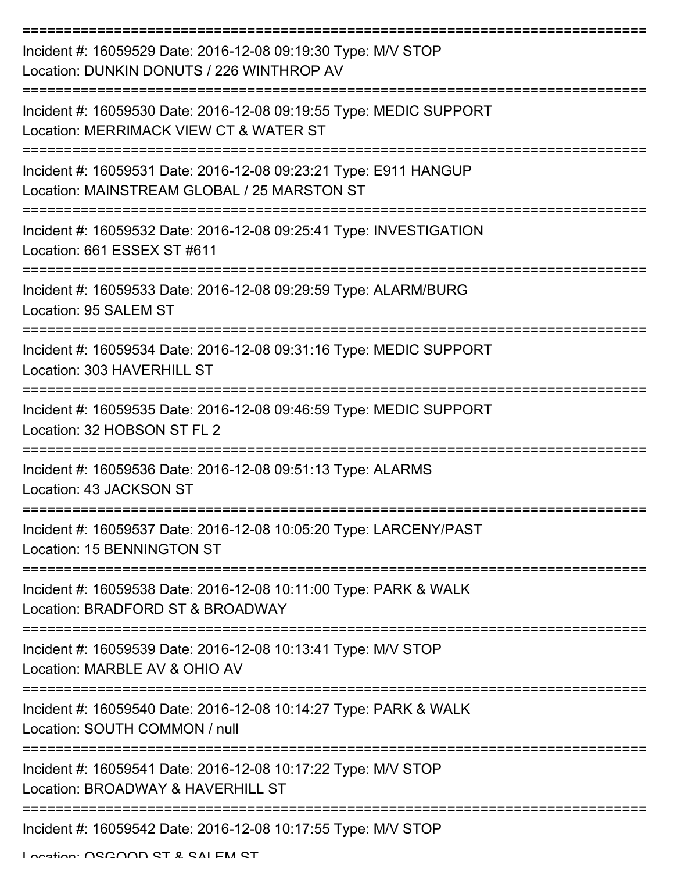| Incident #: 16059529 Date: 2016-12-08 09:19:30 Type: M/V STOP<br>Location: DUNKIN DONUTS / 226 WINTHROP AV       |
|------------------------------------------------------------------------------------------------------------------|
| Incident #: 16059530 Date: 2016-12-08 09:19:55 Type: MEDIC SUPPORT<br>Location: MERRIMACK VIEW CT & WATER ST     |
| Incident #: 16059531 Date: 2016-12-08 09:23:21 Type: E911 HANGUP<br>Location: MAINSTREAM GLOBAL / 25 MARSTON ST  |
| Incident #: 16059532 Date: 2016-12-08 09:25:41 Type: INVESTIGATION<br>Location: 661 ESSEX ST #611                |
| Incident #: 16059533 Date: 2016-12-08 09:29:59 Type: ALARM/BURG<br>Location: 95 SALEM ST                         |
| Incident #: 16059534 Date: 2016-12-08 09:31:16 Type: MEDIC SUPPORT<br>Location: 303 HAVERHILL ST                 |
| Incident #: 16059535 Date: 2016-12-08 09:46:59 Type: MEDIC SUPPORT<br>Location: 32 HOBSON ST FL 2                |
| Incident #: 16059536 Date: 2016-12-08 09:51:13 Type: ALARMS<br>Location: 43 JACKSON ST                           |
| Incident #: 16059537 Date: 2016-12-08 10:05:20 Type: LARCENY/PAST<br>Location: 15 BENNINGTON ST<br>------------- |
| Incident #: 16059538 Date: 2016-12-08 10:11:00 Type: PARK & WALK<br>Location: BRADFORD ST & BROADWAY             |
| Incident #: 16059539 Date: 2016-12-08 10:13:41 Type: M/V STOP<br>Location: MARBLE AV & OHIO AV                   |
| Incident #: 16059540 Date: 2016-12-08 10:14:27 Type: PARK & WALK<br>Location: SOUTH COMMON / null                |
| Incident #: 16059541 Date: 2016-12-08 10:17:22 Type: M/V STOP<br>Location: BROADWAY & HAVERHILL ST               |
| Incident #: 16059542 Date: 2016-12-08 10:17:55 Type: M/V STOP                                                    |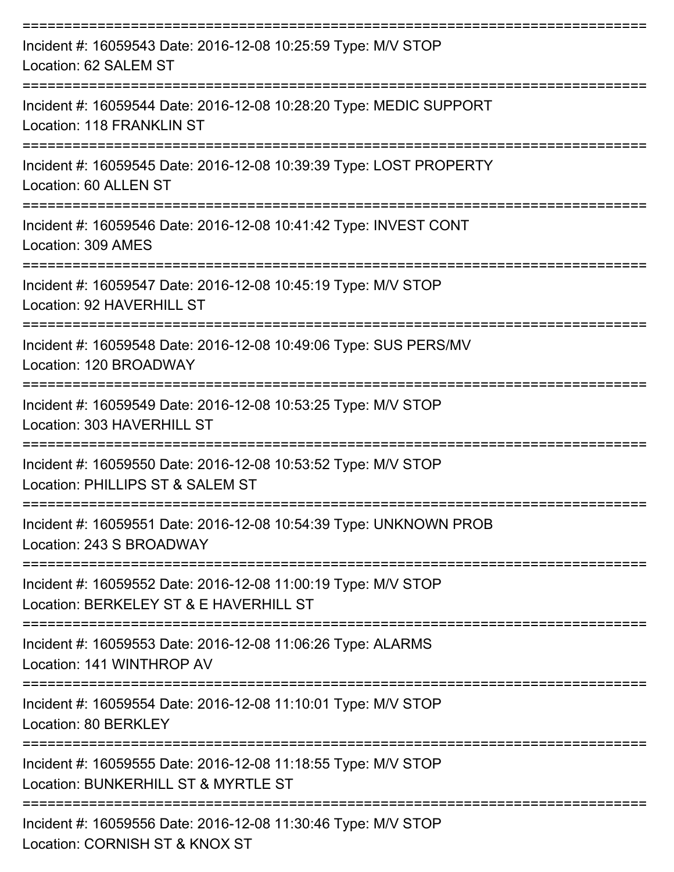| Incident #: 16059543 Date: 2016-12-08 10:25:59 Type: M/V STOP<br>Location: 62 SALEM ST                  |
|---------------------------------------------------------------------------------------------------------|
| Incident #: 16059544 Date: 2016-12-08 10:28:20 Type: MEDIC SUPPORT<br>Location: 118 FRANKLIN ST         |
| Incident #: 16059545 Date: 2016-12-08 10:39:39 Type: LOST PROPERTY<br>Location: 60 ALLEN ST             |
| Incident #: 16059546 Date: 2016-12-08 10:41:42 Type: INVEST CONT<br>Location: 309 AMES                  |
| Incident #: 16059547 Date: 2016-12-08 10:45:19 Type: M/V STOP<br>Location: 92 HAVERHILL ST              |
| Incident #: 16059548 Date: 2016-12-08 10:49:06 Type: SUS PERS/MV<br>Location: 120 BROADWAY              |
| Incident #: 16059549 Date: 2016-12-08 10:53:25 Type: M/V STOP<br>Location: 303 HAVERHILL ST             |
| Incident #: 16059550 Date: 2016-12-08 10:53:52 Type: M/V STOP<br>Location: PHILLIPS ST & SALEM ST       |
| Incident #: 16059551 Date: 2016-12-08 10:54:39 Type: UNKNOWN PROB<br>Location: 243 S BROADWAY           |
| Incident #: 16059552 Date: 2016-12-08 11:00:19 Type: M/V STOP<br>Location: BERKELEY ST & E HAVERHILL ST |
| Incident #: 16059553 Date: 2016-12-08 11:06:26 Type: ALARMS<br>Location: 141 WINTHROP AV                |
| Incident #: 16059554 Date: 2016-12-08 11:10:01 Type: M/V STOP<br>Location: 80 BERKLEY                   |
| Incident #: 16059555 Date: 2016-12-08 11:18:55 Type: M/V STOP<br>Location: BUNKERHILL ST & MYRTLE ST    |
| Incident #: 16059556 Date: 2016-12-08 11:30:46 Type: M/V STOP<br>Location: CORNISH ST & KNOX ST         |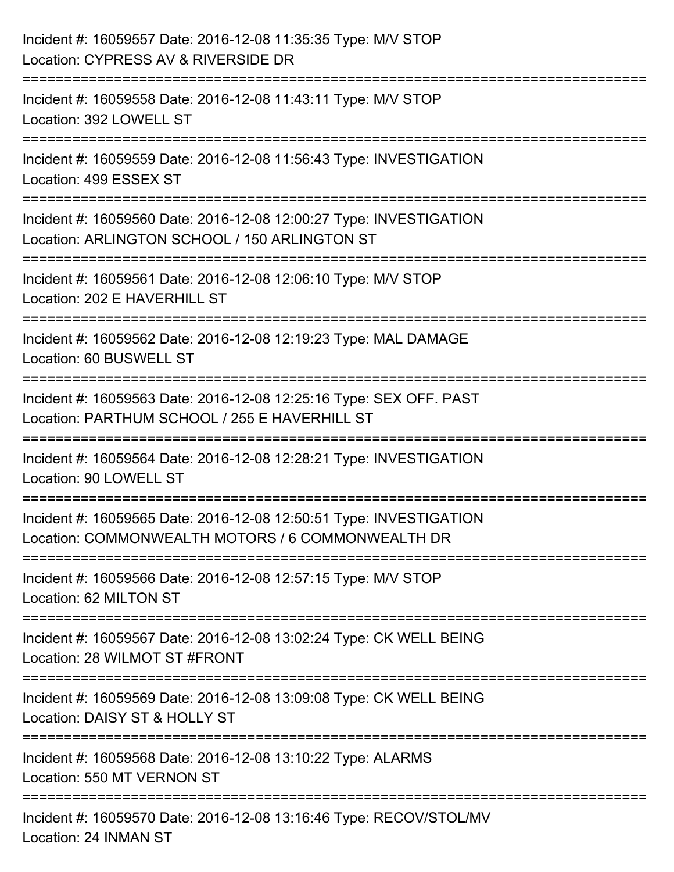| Incident #: 16059557 Date: 2016-12-08 11:35:35 Type: M/V STOP<br>Location: CYPRESS AV & RIVERSIDE DR                                            |
|-------------------------------------------------------------------------------------------------------------------------------------------------|
| :=========================<br>============<br>Incident #: 16059558 Date: 2016-12-08 11:43:11 Type: M/V STOP<br>Location: 392 LOWELL ST          |
| Incident #: 16059559 Date: 2016-12-08 11:56:43 Type: INVESTIGATION<br>Location: 499 ESSEX ST<br>================================                |
| Incident #: 16059560 Date: 2016-12-08 12:00:27 Type: INVESTIGATION<br>Location: ARLINGTON SCHOOL / 150 ARLINGTON ST<br>:======================= |
| Incident #: 16059561 Date: 2016-12-08 12:06:10 Type: M/V STOP<br>Location: 202 E HAVERHILL ST                                                   |
| Incident #: 16059562 Date: 2016-12-08 12:19:23 Type: MAL DAMAGE<br>Location: 60 BUSWELL ST                                                      |
| Incident #: 16059563 Date: 2016-12-08 12:25:16 Type: SEX OFF. PAST<br>Location: PARTHUM SCHOOL / 255 E HAVERHILL ST                             |
| Incident #: 16059564 Date: 2016-12-08 12:28:21 Type: INVESTIGATION<br>Location: 90 LOWELL ST                                                    |
| Incident #: 16059565 Date: 2016-12-08 12:50:51 Type: INVESTIGATION<br>Location: COMMONWEALTH MOTORS / 6 COMMONWEALTH DR                         |
| Incident #: 16059566 Date: 2016-12-08 12:57:15 Type: M/V STOP<br>Location: 62 MILTON ST                                                         |
| Incident #: 16059567 Date: 2016-12-08 13:02:24 Type: CK WELL BEING<br>Location: 28 WILMOT ST #FRONT                                             |
| Incident #: 16059569 Date: 2016-12-08 13:09:08 Type: CK WELL BEING<br>Location: DAISY ST & HOLLY ST                                             |
| Incident #: 16059568 Date: 2016-12-08 13:10:22 Type: ALARMS<br>Location: 550 MT VERNON ST                                                       |
| Incident #: 16059570 Date: 2016-12-08 13:16:46 Type: RECOV/STOL/MV<br>Location: 24 INMAN ST                                                     |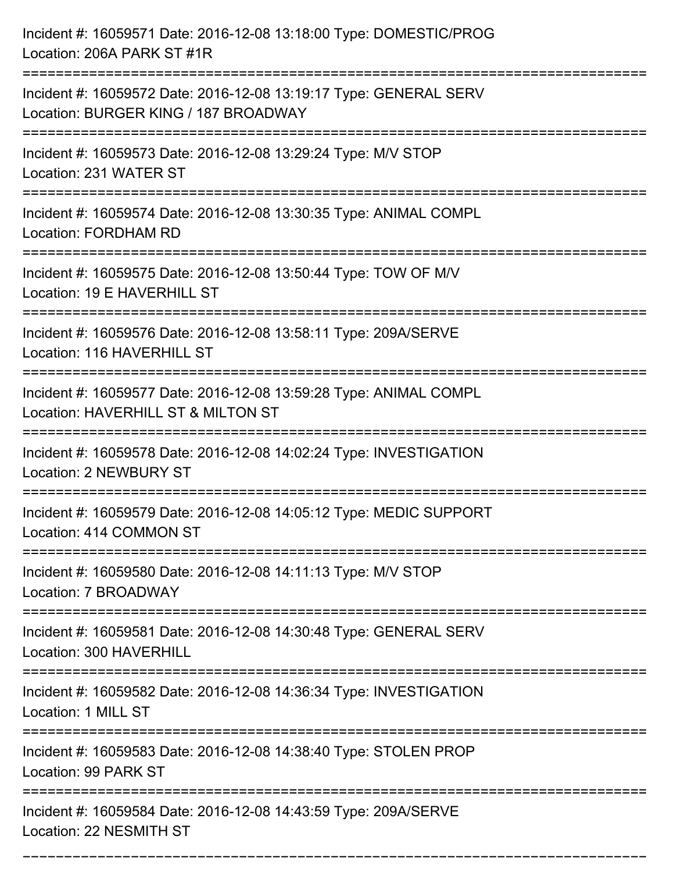| Incident #: 16059571 Date: 2016-12-08 13:18:00 Type: DOMESTIC/PROG<br>Location: 206A PARK ST #1R                                                             |
|--------------------------------------------------------------------------------------------------------------------------------------------------------------|
| Incident #: 16059572 Date: 2016-12-08 13:19:17 Type: GENERAL SERV<br>Location: BURGER KING / 187 BROADWAY                                                    |
| Incident #: 16059573 Date: 2016-12-08 13:29:24 Type: M/V STOP<br>Location: 231 WATER ST<br>:===================================                              |
| Incident #: 16059574 Date: 2016-12-08 13:30:35 Type: ANIMAL COMPL<br>Location: FORDHAM RD                                                                    |
| Incident #: 16059575 Date: 2016-12-08 13:50:44 Type: TOW OF M/V<br>Location: 19 E HAVERHILL ST                                                               |
| Incident #: 16059576 Date: 2016-12-08 13:58:11 Type: 209A/SERVE<br>Location: 116 HAVERHILL ST                                                                |
| Incident #: 16059577 Date: 2016-12-08 13:59:28 Type: ANIMAL COMPL<br>Location: HAVERHILL ST & MILTON ST<br>----------------                                  |
| Incident #: 16059578 Date: 2016-12-08 14:02:24 Type: INVESTIGATION<br>Location: 2 NEWBURY ST                                                                 |
| Incident #: 16059579 Date: 2016-12-08 14:05:12 Type: MEDIC SUPPORT<br>Location: 414 COMMON ST                                                                |
| Incident #: 16059580 Date: 2016-12-08 14:11:13 Type: M/V STOP<br>Location: 7 BROADWAY<br>--------------------------------<br>------------------------------- |
| Incident #: 16059581 Date: 2016-12-08 14:30:48 Type: GENERAL SERV<br>Location: 300 HAVERHILL                                                                 |
| Incident #: 16059582 Date: 2016-12-08 14:36:34 Type: INVESTIGATION<br>Location: 1 MILL ST                                                                    |
| Incident #: 16059583 Date: 2016-12-08 14:38:40 Type: STOLEN PROP<br>Location: 99 PARK ST                                                                     |
| ====================================<br>Incident #: 16059584 Date: 2016-12-08 14:43:59 Type: 209A/SERVE<br>Location: 22 NESMITH ST                           |

===========================================================================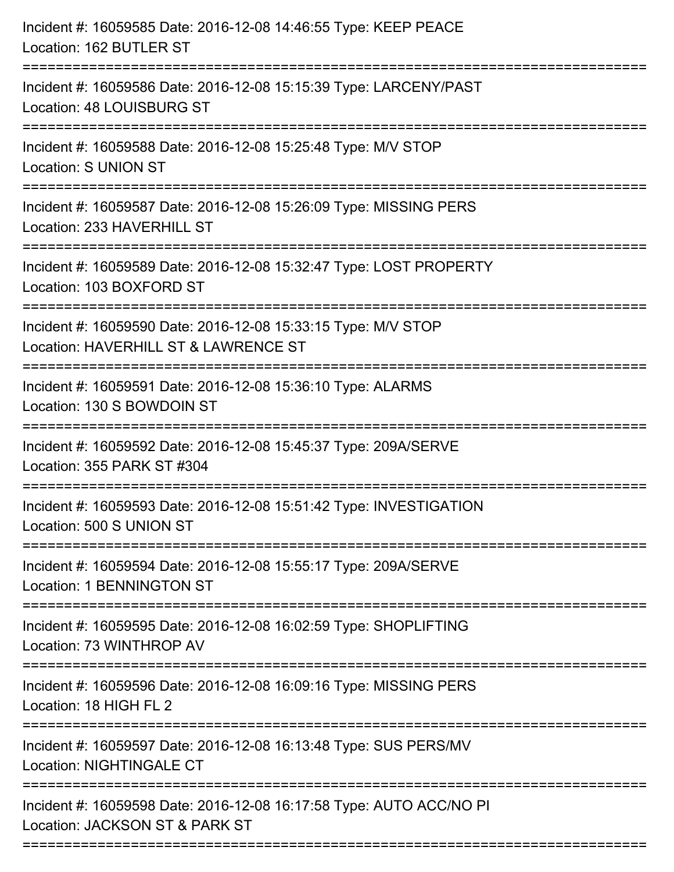| Incident #: 16059585 Date: 2016-12-08 14:46:55 Type: KEEP PEACE<br>Location: 162 BUTLER ST                                                                       |
|------------------------------------------------------------------------------------------------------------------------------------------------------------------|
| Incident #: 16059586 Date: 2016-12-08 15:15:39 Type: LARCENY/PAST<br>Location: 48 LOUISBURG ST                                                                   |
| Incident #: 16059588 Date: 2016-12-08 15:25:48 Type: M/V STOP<br><b>Location: S UNION ST</b><br>======================                                           |
| Incident #: 16059587 Date: 2016-12-08 15:26:09 Type: MISSING PERS<br>Location: 233 HAVERHILL ST                                                                  |
| Incident #: 16059589 Date: 2016-12-08 15:32:47 Type: LOST PROPERTY<br>Location: 103 BOXFORD ST<br>===============================<br>=========================== |
| Incident #: 16059590 Date: 2016-12-08 15:33:15 Type: M/V STOP<br>Location: HAVERHILL ST & LAWRENCE ST<br>:==================                                     |
| Incident #: 16059591 Date: 2016-12-08 15:36:10 Type: ALARMS<br>Location: 130 S BOWDOIN ST<br>==================================                                  |
| Incident #: 16059592 Date: 2016-12-08 15:45:37 Type: 209A/SERVE<br>Location: 355 PARK ST #304                                                                    |
| Incident #: 16059593 Date: 2016-12-08 15:51:42 Type: INVESTIGATION<br>Location: 500 S UNION ST                                                                   |
| Incident #: 16059594 Date: 2016-12-08 15:55:17 Type: 209A/SERVE<br><b>Location: 1 BENNINGTON ST</b>                                                              |
| Incident #: 16059595 Date: 2016-12-08 16:02:59 Type: SHOPLIFTING<br>Location: 73 WINTHROP AV                                                                     |
| Incident #: 16059596 Date: 2016-12-08 16:09:16 Type: MISSING PERS<br>Location: 18 HIGH FL 2                                                                      |
| Incident #: 16059597 Date: 2016-12-08 16:13:48 Type: SUS PERS/MV<br><b>Location: NIGHTINGALE CT</b>                                                              |
| Incident #: 16059598 Date: 2016-12-08 16:17:58 Type: AUTO ACC/NO PI<br>Location: JACKSON ST & PARK ST                                                            |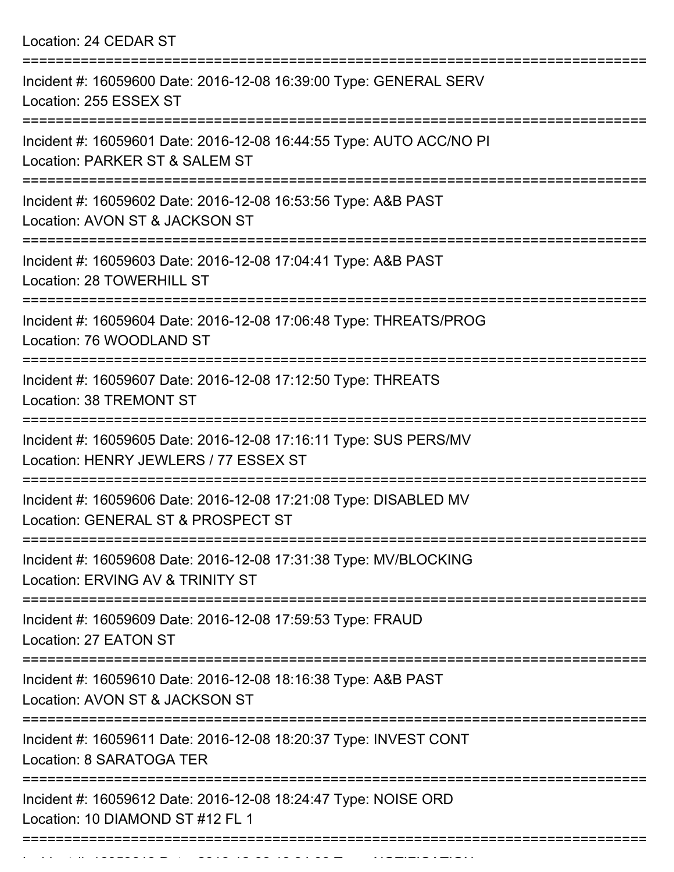Location: 24 CEDAR ST

| Incident #: 16059600 Date: 2016-12-08 16:39:00 Type: GENERAL SERV<br>Location: 255 ESSEX ST                                        |
|------------------------------------------------------------------------------------------------------------------------------------|
| Incident #: 16059601 Date: 2016-12-08 16:44:55 Type: AUTO ACC/NO PI<br>Location: PARKER ST & SALEM ST                              |
| Incident #: 16059602 Date: 2016-12-08 16:53:56 Type: A&B PAST<br>Location: AVON ST & JACKSON ST                                    |
| Incident #: 16059603 Date: 2016-12-08 17:04:41 Type: A&B PAST<br>Location: 28 TOWERHILL ST                                         |
| Incident #: 16059604 Date: 2016-12-08 17:06:48 Type: THREATS/PROG<br>Location: 76 WOODLAND ST<br>:================================ |
| Incident #: 16059607 Date: 2016-12-08 17:12:50 Type: THREATS<br>Location: 38 TREMONT ST                                            |
| Incident #: 16059605 Date: 2016-12-08 17:16:11 Type: SUS PERS/MV<br>Location: HENRY JEWLERS / 77 ESSEX ST                          |
| Incident #: 16059606 Date: 2016-12-08 17:21:08 Type: DISABLED MV<br>Location: GENERAL ST & PROSPECT ST                             |
| Incident #: 16059608 Date: 2016-12-08 17:31:38 Type: MV/BLOCKING<br>Location: ERVING AV & TRINITY ST                               |
| Incident #: 16059609 Date: 2016-12-08 17:59:53 Type: FRAUD<br>Location: 27 EATON ST                                                |
| Incident #: 16059610 Date: 2016-12-08 18:16:38 Type: A&B PAST<br>Location: AVON ST & JACKSON ST                                    |
| ============================<br>Incident #: 16059611 Date: 2016-12-08 18:20:37 Type: INVEST CONT<br>Location: 8 SARATOGA TER       |
| Incident #: 16059612 Date: 2016-12-08 18:24:47 Type: NOISE ORD<br>Location: 10 DIAMOND ST #12 FL 1                                 |
|                                                                                                                                    |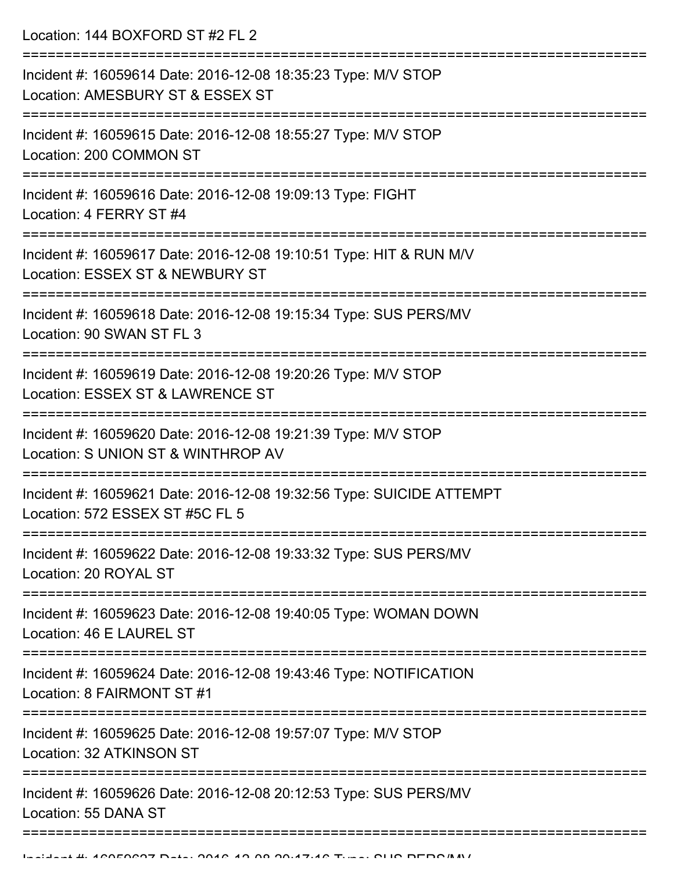Location: 144 BOXFORD ST #2 FL 2

| Incident #: 16059614 Date: 2016-12-08 18:35:23 Type: M/V STOP<br>Location: AMESBURY ST & ESSEX ST       |
|---------------------------------------------------------------------------------------------------------|
| Incident #: 16059615 Date: 2016-12-08 18:55:27 Type: M/V STOP<br>Location: 200 COMMON ST                |
| Incident #: 16059616 Date: 2016-12-08 19:09:13 Type: FIGHT<br>Location: 4 FERRY ST #4                   |
| Incident #: 16059617 Date: 2016-12-08 19:10:51 Type: HIT & RUN M/V<br>Location: ESSEX ST & NEWBURY ST   |
| Incident #: 16059618 Date: 2016-12-08 19:15:34 Type: SUS PERS/MV<br>Location: 90 SWAN ST FL 3           |
| Incident #: 16059619 Date: 2016-12-08 19:20:26 Type: M/V STOP<br>Location: ESSEX ST & LAWRENCE ST       |
| Incident #: 16059620 Date: 2016-12-08 19:21:39 Type: M/V STOP<br>Location: S UNION ST & WINTHROP AV     |
| Incident #: 16059621 Date: 2016-12-08 19:32:56 Type: SUICIDE ATTEMPT<br>Location: 572 ESSEX ST #5C FL 5 |
| Incident #: 16059622 Date: 2016-12-08 19:33:32 Type: SUS PERS/MV<br>Location: 20 ROYAL ST               |
| Incident #: 16059623 Date: 2016-12-08 19:40:05 Type: WOMAN DOWN<br>Location: 46 E LAUREL ST             |
| Incident #: 16059624 Date: 2016-12-08 19:43:46 Type: NOTIFICATION<br>Location: 8 FAIRMONT ST #1         |
| Incident #: 16059625 Date: 2016-12-08 19:57:07 Type: M/V STOP<br>Location: 32 ATKINSON ST               |
| Incident #: 16059626 Date: 2016-12-08 20:12:53 Type: SUS PERS/MV<br>Location: 55 DANA ST                |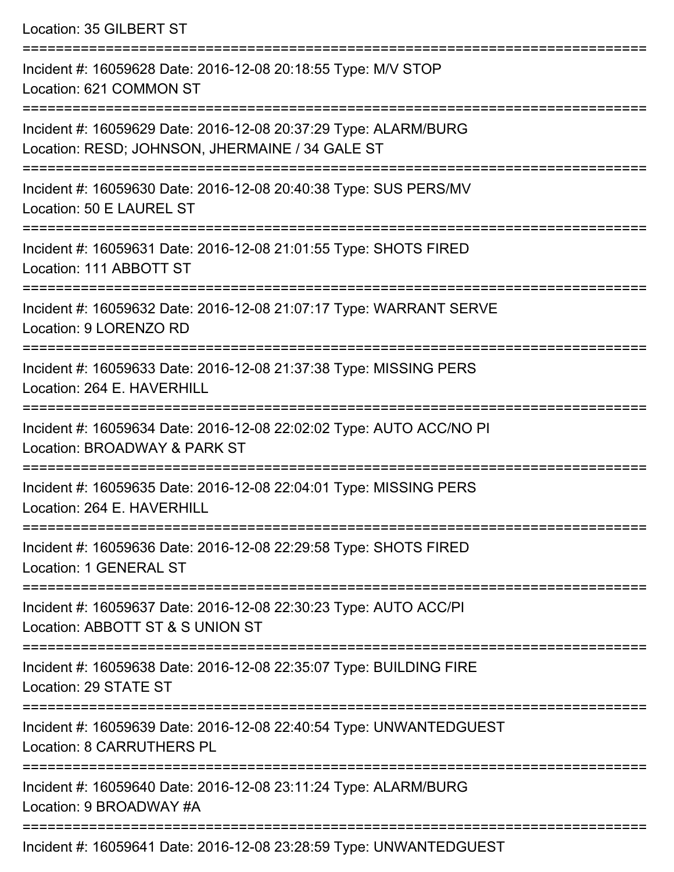Location: 35 GILBERT ST

=========================================================================== Incident #: 16059628 Date: 2016-12-08 20:18:55 Type: M/V STOP Location: 621 COMMON ST =========================================================================== Incident #: 16059629 Date: 2016-12-08 20:37:29 Type: ALARM/BURG Location: RESD; JOHNSON, JHERMAINE / 34 GALE ST =========================================================================== Incident #: 16059630 Date: 2016-12-08 20:40:38 Type: SUS PERS/MV Location: 50 E LAUREL ST =========================================================================== Incident #: 16059631 Date: 2016-12-08 21:01:55 Type: SHOTS FIRED Location: 111 ABBOTT ST =========================================================================== Incident #: 16059632 Date: 2016-12-08 21:07:17 Type: WARRANT SERVE Location: 9 LORENZO RD =========================================================================== Incident #: 16059633 Date: 2016-12-08 21:37:38 Type: MISSING PERS Location: 264 E. HAVERHILL =========================================================================== Incident #: 16059634 Date: 2016-12-08 22:02:02 Type: AUTO ACC/NO PI Location: BROADWAY & PARK ST =========================================================================== Incident #: 16059635 Date: 2016-12-08 22:04:01 Type: MISSING PERS Location: 264 E. HAVERHILL =========================================================================== Incident #: 16059636 Date: 2016-12-08 22:29:58 Type: SHOTS FIRED Location: 1 GENERAL ST =========================================================================== Incident #: 16059637 Date: 2016-12-08 22:30:23 Type: AUTO ACC/PI Location: ABBOTT ST & S UNION ST =========================================================================== Incident #: 16059638 Date: 2016-12-08 22:35:07 Type: BUILDING FIRE Location: 29 STATE ST =========================================================================== Incident #: 16059639 Date: 2016-12-08 22:40:54 Type: UNWANTEDGUEST Location: 8 CARRUTHERS PL =========================================================================== Incident #: 16059640 Date: 2016-12-08 23:11:24 Type: ALARM/BURG Location: 9 BROADWAY #A ===========================================================================

Incident #: 16059641 Date: 2016-12-08 23:28:59 Type: UNWANTEDGUEST